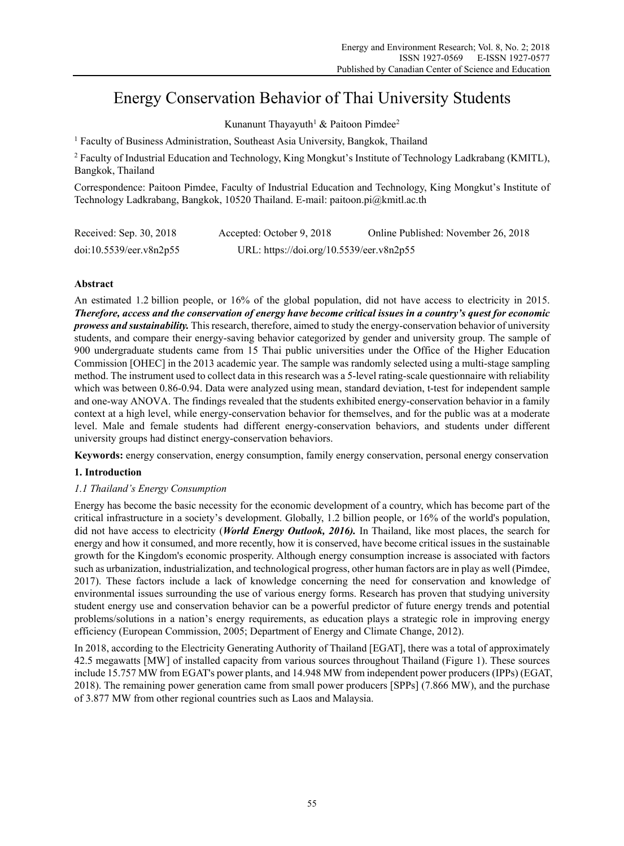# Energy Conservation Behavior of Thai University Students

Kunanunt Thayayuth<sup>1</sup> & Paitoon Pimdee<sup>2</sup>

<sup>1</sup> Faculty of Business Administration, Southeast Asia University, Bangkok, Thailand

<sup>2</sup> Faculty of Industrial Education and Technology, King Mongkut's Institute of Technology Ladkrabang (KMITL), Bangkok, Thailand

Correspondence: Paitoon Pimdee, Faculty of Industrial Education and Technology, King Mongkut's Institute of Technology Ladkrabang, Bangkok, 10520 Thailand. E-mail: paitoon.pi@kmitl.ac.th

| Received: Sep. 30, 2018 | Accepted: October 9, 2018                | Online Published: November 26, 2018 |
|-------------------------|------------------------------------------|-------------------------------------|
| doi:10.5539/eer.v8n2p55 | URL: https://doi.org/10.5539/eer.v8n2p55 |                                     |

# **Abstract**

An estimated 1.2 billion people, or 16% of the global population, did not have access to electricity in 2015. *Therefore, access and the conservation of energy have become critical issues in a country's quest for economic prowess and sustainability.* This research, therefore, aimed to study the energy-conservation behavior of university students, and compare their energy-saving behavior categorized by gender and university group. The sample of 900 undergraduate students came from 15 Thai public universities under the Office of the Higher Education Commission [OHEC] in the 2013 academic year. The sample was randomly selected using a multi-stage sampling method. The instrument used to collect data in this research was a 5-level rating-scale questionnaire with reliability which was between 0.86-0.94. Data were analyzed using mean, standard deviation, t-test for independent sample and one-way ANOVA. The findings revealed that the students exhibited energy-conservation behavior in a family context at a high level, while energy-conservation behavior for themselves, and for the public was at a moderate level. Male and female students had different energy-conservation behaviors, and students under different university groups had distinct energy-conservation behaviors.

**Keywords:** energy conservation, energy consumption, family energy conservation, personal energy conservation

# **1. Introduction**

# *1.1 Thailand's Energy Consumption*

Energy has become the basic necessity for the economic development of a country, which has become part of the critical infrastructure in a society's development. Globally, 1.2 billion people, or 16% of the world's population, did not have access to electricity (*World Energy Outlook, 2016).* In Thailand, like most places, the search for energy and how it consumed, and more recently, how it is conserved, have become critical issues in the sustainable growth for the Kingdom's economic prosperity. Although energy consumption increase is associated with factors such as urbanization, industrialization, and technological progress, other human factors are in play as well (Pimdee, 2017). These factors include a lack of knowledge concerning the need for conservation and knowledge of environmental issues surrounding the use of various energy forms. Research has proven that studying university student energy use and conservation behavior can be a powerful predictor of future energy trends and potential problems/solutions in a nation's energy requirements, as education plays a strategic role in improving energy efficiency (European Commission, 2005; Department of Energy and Climate Change, 2012).

In 2018, according to the Electricity Generating Authority of Thailand [EGAT], there was a total of approximately 42.5 megawatts [MW] of installed capacity from various sources throughout Thailand (Figure 1). These sources include 15.757 MW from EGAT's power plants, and 14.948 MW from independent power producers (IPPs) (EGAT, 2018). The remaining power generation came from small power producers [SPPs] (7.866 MW), and the purchase of 3.877 MW from other regional countries such as Laos and Malaysia.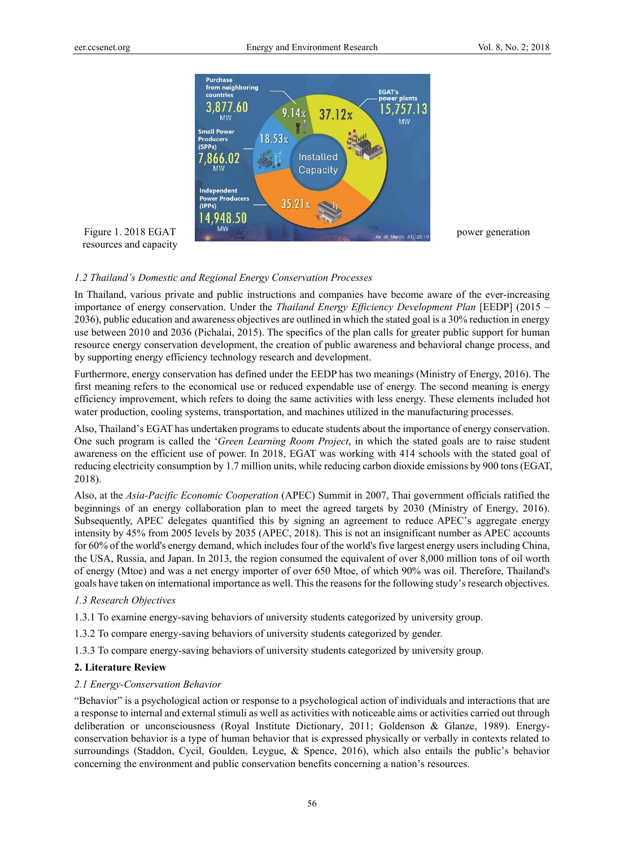

resources and capacity

# *1.2 Thailand's Domestic and Regional Energy Conservation Processes*

In Thailand, various private and public instructions and companies have become aware of the ever-increasing importance of energy conservation. Under the *Thailand Energy Efficiency Development Plan* [EEDP] (2015 – 2036), public education and awareness objectives are outlined in which the stated goal is a 30% reduction in energy use between 2010 and 2036 (Pichalai, 2015). The specifics of the plan calls for greater public support for human resource energy conservation development, the creation of public awareness and behavioral change process, and by supporting energy efficiency technology research and development.

Furthermore, energy conservation has defined under the EEDP has two meanings (Ministry of Energy, 2016). The first meaning refers to the economical use or reduced expendable use of energy. The second meaning is energy efficiency improvement, which refers to doing the same activities with less energy. These elements included hot water production, cooling systems, transportation, and machines utilized in the manufacturing processes.

Also, Thailand's EGAT has undertaken programs to educate students about the importance of energy conservation. One such program is called the '*Green Learning Room Project*, in which the stated goals are to raise student awareness on the efficient use of power. In 2018, EGAT was working with 414 schools with the stated goal of reducing electricity consumption by 1.7 million units, while reducing carbon dioxide emissions by 900 tons (EGAT, 2018).

Also, at the *Asia-Pacific Economic Cooperation* (APEC) Summit in 2007, Thai government officials ratified the beginnings of an energy collaboration plan to meet the agreed targets by 2030 (Ministry of Energy, 2016). Subsequently, APEC delegates quantified this by signing an agreement to reduce APEC's aggregate energy intensity by 45% from 2005 levels by 2035 (APEC, 2018). This is not an insignificant number as APEC accounts for 60% of the world's energy demand, which includes four of the world's five largest energy users including China, the USA, Russia, and Japan. In 2013, the region consumed the equivalent of over 8,000 million tons of oil worth of energy (Mtoe) and was a net energy importer of over 650 Mtoe, of which 90% was oil. Therefore, Thailand's goals have taken on international importance as well. This the reasons for the following study's research objectives.

#### *1.3 Research Objectives*

- 1.3.1 To examine energy-saving behaviors of university students categorized by university group.
- 1.3.2 To compare energy-saving behaviors of university students categorized by gender.
- 1.3.3 To compare energy-saving behaviors of university students categorized by university group.

#### **2. Literature Review**

#### *2.1 Energy-Conservation Behavior*

"Behavior" is a psychological action or response to a psychological action of individuals and interactions that are a response to internal and external stimuli as well as activities with noticeable aims or activities carried out through deliberation or unconsciousness (Royal Institute Dictionary, 2011; Goldenson & Glanze, 1989). Energyconservation behavior is a type of human behavior that is expressed physically or verbally in contexts related to surroundings (Staddon, Cycil, Goulden, Leygue, & Spence, 2016), which also entails the public's behavior concerning the environment and public conservation benefits concerning a nation's resources.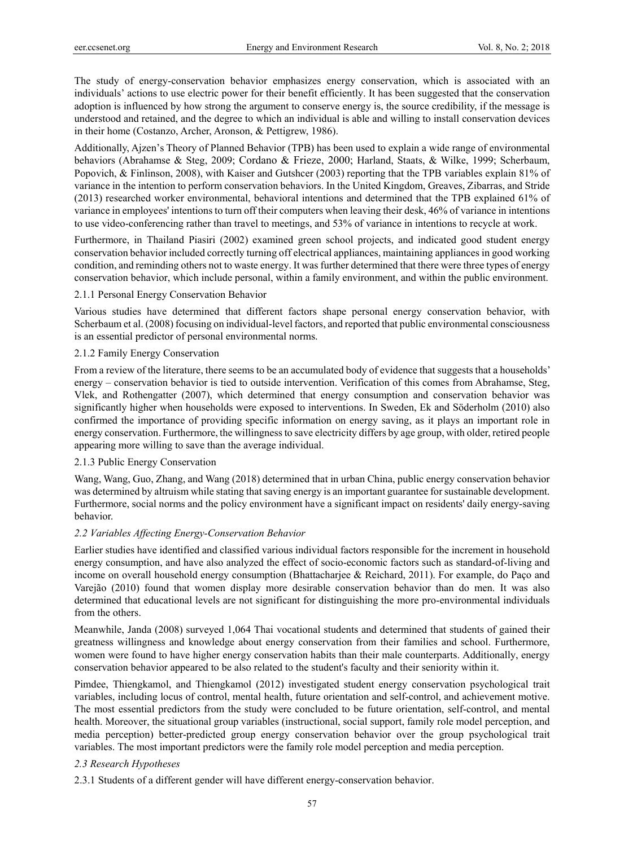The study of energy-conservation behavior emphasizes energy conservation, which is associated with an individuals' actions to use electric power for their benefit efficiently. It has been suggested that the conservation adoption is influenced by how strong the argument to conserve energy is, the source credibility, if the message is understood and retained, and the degree to which an individual is able and willing to install conservation devices in their home (Costanzo, Archer, Aronson, & Pettigrew, 1986).

Additionally, Ajzen's Theory of Planned Behavior (TPB) has been used to explain a wide range of environmental behaviors (Abrahamse & Steg, 2009; Cordano & Frieze, 2000; Harland, Staats, & Wilke, 1999; Scherbaum, Popovich, & Finlinson, 2008), with Kaiser and Gutshcer (2003) reporting that the TPB variables explain 81% of variance in the intention to perform conservation behaviors. In the United Kingdom, Greaves, Zibarras, and Stride (2013) researched worker environmental, behavioral intentions and determined that the TPB explained 61% of variance in employees' intentions to turn off their computers when leaving their desk, 46% of variance in intentions to use video-conferencing rather than travel to meetings, and 53% of variance in intentions to recycle at work.

Furthermore, in Thailand Piasiri (2002) examined green school projects, and indicated good student energy conservation behavior included correctly turning off electrical appliances, maintaining appliances in good working condition, and reminding others not to waste energy. It was further determined that there were three types of energy conservation behavior, which include personal, within a family environment, and within the public environment.

# 2.1.1 Personal Energy Conservation Behavior

Various studies have determined that different factors shape personal energy conservation behavior, with Scherbaum et al. (2008) focusing on individual-level factors, and reported that public environmental consciousness is an essential predictor of personal environmental norms.

# 2.1.2 Family Energy Conservation

From a review of the literature, there seems to be an accumulated body of evidence that suggests that a households' energy – conservation behavior is tied to outside intervention. Verification of this comes from Abrahamse, Steg, Vlek, and Rothengatter (2007), which determined that energy consumption and conservation behavior was significantly higher when households were exposed to interventions. In Sweden, Ek and Söderholm (2010) also confirmed the importance of providing specific information on energy saving, as it plays an important role in energy conservation. Furthermore, the willingness to save electricity differs by age group, with older, retired people appearing more willing to save than the average individual.

# 2.1.3 Public Energy Conservation

Wang, Wang, Guo, Zhang, and Wang (2018) determined that in urban China, public energy conservation behavior was determined by altruism while stating that saving energy is an important guarantee for sustainable development. Furthermore, social norms and the policy environment have a significant impact on residents' daily energy-saving behavior.

# *2.2 Variables Affecting Energy-Conservation Behavior*

Earlier studies have identified and classified various individual factors responsible for the increment in household energy consumption, and have also analyzed the effect of socio-economic factors such as standard-of-living and income on overall household energy consumption (Bhattacharjee & Reichard, 2011). For example, do Paço and Varejão (2010) found that women display more desirable conservation behavior than do men. It was also determined that educational levels are not significant for distinguishing the more pro-environmental individuals from the others.

Meanwhile, Janda (2008) surveyed 1,064 Thai vocational students and determined that students of gained their greatness willingness and knowledge about energy conservation from their families and school. Furthermore, women were found to have higher energy conservation habits than their male counterparts. Additionally, energy conservation behavior appeared to be also related to the student's faculty and their seniority within it.

Pimdee, Thiengkamol, and Thiengkamol (2012) investigated student energy conservation psychological trait variables, including locus of control, mental health, future orientation and self-control, and achievement motive. The most essential predictors from the study were concluded to be future orientation, self-control, and mental health. Moreover, the situational group variables (instructional, social support, family role model perception, and media perception) better-predicted group energy conservation behavior over the group psychological trait variables. The most important predictors were the family role model perception and media perception.

# *2.3 Research Hypotheses*

2.3.1 Students of a different gender will have different energy-conservation behavior.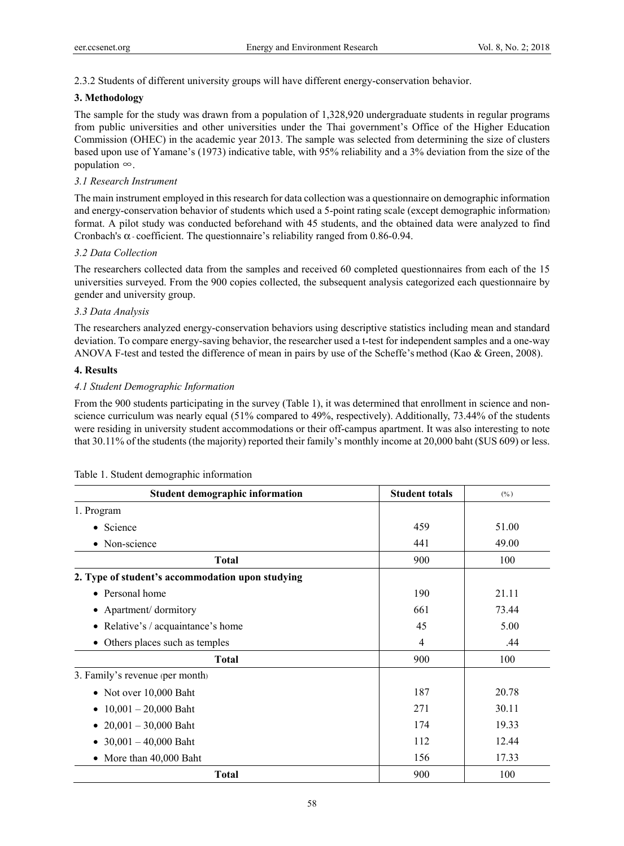2.3.2 Students of different university groups will have different energy-conservation behavior.

# **3. Methodology**

The sample for the study was drawn from a population of 1,328,920 undergraduate students in regular programs from public universities and other universities under the Thai government's Office of the Higher Education Commission (OHEC) in the academic year 2013. The sample was selected from determining the size of clusters based upon use of Yamane's (1973) indicative table, with 95% reliability and a 3% deviation from the size of the population ∞.

# *3.1 Research Instrument*

The main instrument employed in this research for data collection was a questionnaire on demographic information and energy-conservation behavior of students which used a 5-point rating scale (except demographic information) format. A pilot study was conducted beforehand with 45 students, and the obtained data were analyzed to find Cronbach's  $\alpha$  - coefficient. The questionnaire's reliability ranged from 0.86-0.94.

# *3.2 Data Collection*

The researchers collected data from the samples and received 60 completed questionnaires from each of the 15 universities surveyed. From the 900 copies collected, the subsequent analysis categorized each questionnaire by gender and university group.

# *3.3 Data Analysis*

The researchers analyzed energy-conservation behaviors using descriptive statistics including mean and standard deviation. To compare energy-saving behavior, the researcher used a t-test for independent samples and a one-way ANOVA F-test and tested the difference of mean in pairs by use of the Scheffe's method (Kao & Green, 2008).

# **4. Results**

# *4.1 Student Demographic Information*

From the 900 students participating in the survey (Table 1), it was determined that enrollment in science and nonscience curriculum was nearly equal (51% compared to 49%, respectively). Additionally, 73.44% of the students were residing in university student accommodations or their off-campus apartment. It was also interesting to note that 30.11% of the students (the majority) reported their family's monthly income at 20,000 baht (\$US 609) or less.

| Student demographic information                  | <b>Student totals</b> | (0/0) |
|--------------------------------------------------|-----------------------|-------|
| 1. Program                                       |                       |       |
| Science<br>$\bullet$                             | 459                   | 51.00 |
| • Non-science                                    | 441                   | 49.00 |
| <b>Total</b>                                     | 900                   | 100   |
| 2. Type of student's accommodation upon studying |                       |       |
| • Personal home                                  | 190                   | 21.11 |
| Apartment/ dormitory<br>$\bullet$                | 661                   | 73.44 |
| Relative's / acquaintance's home<br>$\bullet$    | 45                    | 5.00  |
| • Others places such as temples                  | 4                     | .44   |
| <b>Total</b>                                     | 900                   | 100   |
| 3. Family's revenue (per month)                  |                       |       |
| • Not over 10,000 Baht                           | 187                   | 20.78 |
| $10,001 - 20,000$ Baht<br>$\bullet$              | 271                   | 30.11 |
| $20,001 - 30,000$ Baht<br>٠                      | 174                   | 19.33 |
| $30,001 - 40,000$ Baht<br>٠                      | 112                   | 12.44 |
| • More than 40,000 Baht                          | 156                   | 17.33 |
| <b>Total</b>                                     | 900                   | 100   |

# Table 1. Student demographic information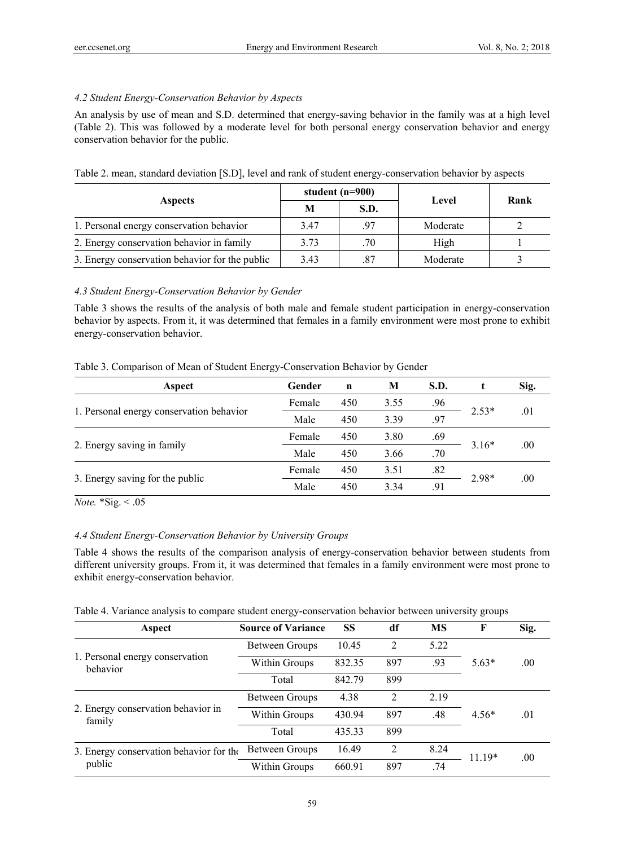# *4.2 Student Energy-Conservation Behavior by Aspects*

An analysis by use of mean and S.D. determined that energy-saving behavior in the family was at a high level (Table 2). This was followed by a moderate level for both personal energy conservation behavior and energy conservation behavior for the public.

|                                                |      | student $(n=900)$ |          | Rank |  |
|------------------------------------------------|------|-------------------|----------|------|--|
| <b>Aspects</b>                                 | M    | S.D.              | Level    |      |  |
| 1. Personal energy conservation behavior       | 3.47 | .97               | Moderate |      |  |
| 2. Energy conservation behavior in family      | 3.73 | .70               | High     |      |  |
| 3. Energy conservation behavior for the public | 3.43 | .87               | Moderate |      |  |

Table 2. mean, standard deviation [S.D], level and rank of student energy-conservation behavior by aspects

# *4.3 Student Energy-Conservation Behavior by Gender*

Table 3 shows the results of the analysis of both male and female student participation in energy-conservation behavior by aspects. From it, it was determined that females in a family environment were most prone to exhibit energy-conservation behavior.

|  |  |  |  | Table 3. Comparison of Mean of Student Energy-Conservation Behavior by Gender |  |
|--|--|--|--|-------------------------------------------------------------------------------|--|
|  |  |  |  |                                                                               |  |

| Aspect                                   | Gender | $\mathbf n$ | M    | S.D. |         | Sig. |
|------------------------------------------|--------|-------------|------|------|---------|------|
|                                          | Female | 450         | 3.55 | .96  | $2.53*$ |      |
| 1. Personal energy conservation behavior | Male   | 450         | 3.39 | .97  |         | .01  |
|                                          | Female | 450         | 3.80 | .69  | $3.16*$ | .00. |
| 2. Energy saving in family               | Male   | 450         | 3.66 | .70  |         |      |
|                                          | Female | 450         | 3.51 | .82  |         |      |
| 3. Energy saving for the public          | Male   | 450         | 3.34 | .91  | $2.98*$ | .00. |

*Note.* \*Sig. < .05

# *4.4 Student Energy-Conservation Behavior by University Groups*

Table 4 shows the results of the comparison analysis of energy-conservation behavior between students from different university groups. From it, it was determined that females in a family environment were most prone to exhibit energy-conservation behavior.

| Table 4. Variance analysis to compare student energy-conservation behavior between university groups |  |  |  |  |
|------------------------------------------------------------------------------------------------------|--|--|--|--|
|                                                                                                      |  |  |  |  |
|                                                                                                      |  |  |  |  |
|                                                                                                      |  |  |  |  |

| Aspect                                       | <b>Source of Variance</b> | <b>SS</b> | df  | MS   | F        | Sig. |
|----------------------------------------------|---------------------------|-----------|-----|------|----------|------|
|                                              | Between Groups            | 10.45     | 2   | 5.22 |          |      |
| 1. Personal energy conservation<br>behavior  | Within Groups             | 832.35    | 897 | .93  | $5.63*$  | .00. |
|                                              | Total                     | 842.79    | 899 |      |          |      |
|                                              | Between Groups            | 4.38      | 2   | 2.19 |          |      |
| 2. Energy conservation behavior in<br>family | Within Groups             | 430.94    | 897 | .48  | $4.56*$  | .01  |
|                                              | Total                     | 435.33    | 899 |      |          |      |
| 3. Energy conservation behavior for the      | Between Groups            | 16.49     | 2   | 8.24 |          |      |
| public                                       | Within Groups             | 660.91    | 897 | .74  | $11.19*$ | .00  |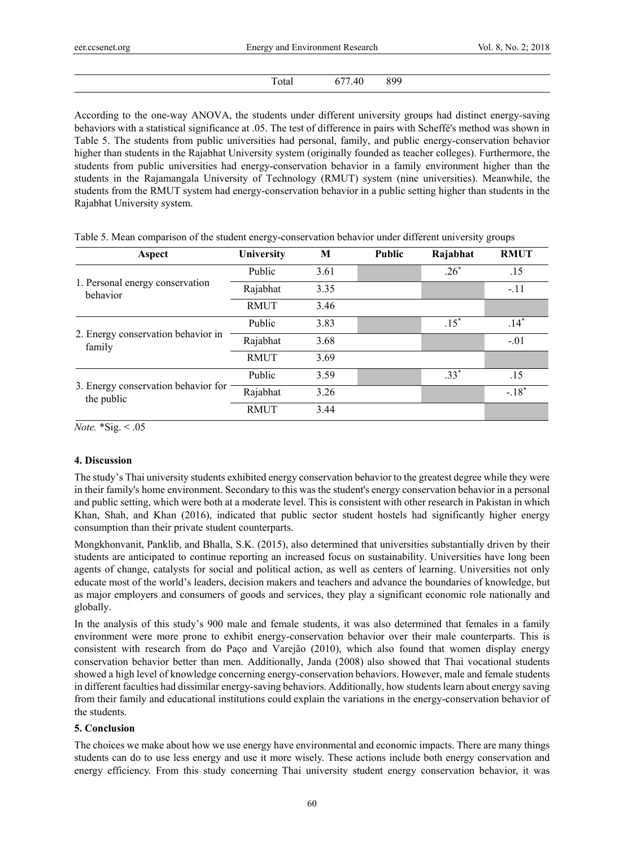| eer.ccsenet.org | Energy and Environment Research | Vol. 8, No. 2: 2018 |
|-----------------|---------------------------------|---------------------|
|                 |                                 |                     |
|                 |                                 |                     |

According to the one-way ANOVA, the students under different university groups had distinct energy-saving behaviors with a statistical significance at .05. The test of difference in pairs with Scheffé's method was shown in Table 5. The students from public universities had personal, family, and public energy-conservation behavior higher than students in the Rajabhat University system (originally founded as teacher colleges). Furthermore, the

Total 677.40 899

students from public universities had energy-conservation behavior in a family environment higher than the students in the Rajamangala University of Technology (RMUT) system (nine universities). Meanwhile, the students from the RMUT system had energy-conservation behavior in a public setting higher than students in the Rajabhat University system.

| Aspect                                            | University  | M    | <b>Public</b> | Rajabhat | <b>RMUT</b> |
|---------------------------------------------------|-------------|------|---------------|----------|-------------|
|                                                   | Public      | 3.61 |               | $.26*$   | .15         |
| 1. Personal energy conservation<br>behavior       | Rajabhat    | 3.35 |               |          | $-.11$      |
|                                                   | <b>RMUT</b> | 3.46 |               |          |             |
|                                                   | Public      | 3.83 |               | $.15*$   | $.14*$      |
| 2. Energy conservation behavior in<br>family      | Rajabhat    | 3.68 |               |          | $-.01$      |
|                                                   | <b>RMUT</b> | 3.69 |               |          |             |
|                                                   | Public      | 3.59 |               | $.33*$   | .15         |
| 3. Energy conservation behavior for<br>the public | Rajabhat    | 3.26 |               |          | $-.18*$     |
|                                                   | <b>RMUT</b> | 3.44 |               |          |             |

Table 5. Mean comparison of the student energy-conservation behavior under different university groups

*Note.* \*Sig. < .05

# **4. Discussion**

The study's Thai university students exhibited energy conservation behavior to the greatest degree while they were in their family's home environment. Secondary to this was the student's energy conservation behavior in a personal and public setting, which were both at a moderate level. This is consistent with other research in Pakistan in which Khan, Shah, and Khan (2016), indicated that public sector student hostels had significantly higher energy consumption than their private student counterparts.

Mongkhonvanit, Panklib, and Bhalla, S.K. (2015), also determined that universities substantially driven by their students are anticipated to continue reporting an increased focus on sustainability. Universities have long been agents of change, catalysts for social and political action, as well as centers of learning. Universities not only educate most of the world's leaders, decision makers and teachers and advance the boundaries of knowledge, but as major employers and consumers of goods and services, they play a significant economic role nationally and globally.

In the analysis of this study's 900 male and female students, it was also determined that females in a family environment were more prone to exhibit energy-conservation behavior over their male counterparts. This is consistent with research from do Paço and Varejão (2010), which also found that women display energy conservation behavior better than men. Additionally, Janda (2008) also showed that Thai vocational students showed a high level of knowledge concerning energy-conservation behaviors. However, male and female students in different faculties had dissimilar energy-saving behaviors. Additionally, how students learn about energy saving from their family and educational institutions could explain the variations in the energy-conservation behavior of the students.

# **5. Conclusion**

The choices we make about how we use energy have environmental and economic impacts. There are many things students can do to use less energy and use it more wisely. These actions include both energy conservation and energy efficiency. From this study concerning Thai university student energy conservation behavior, it was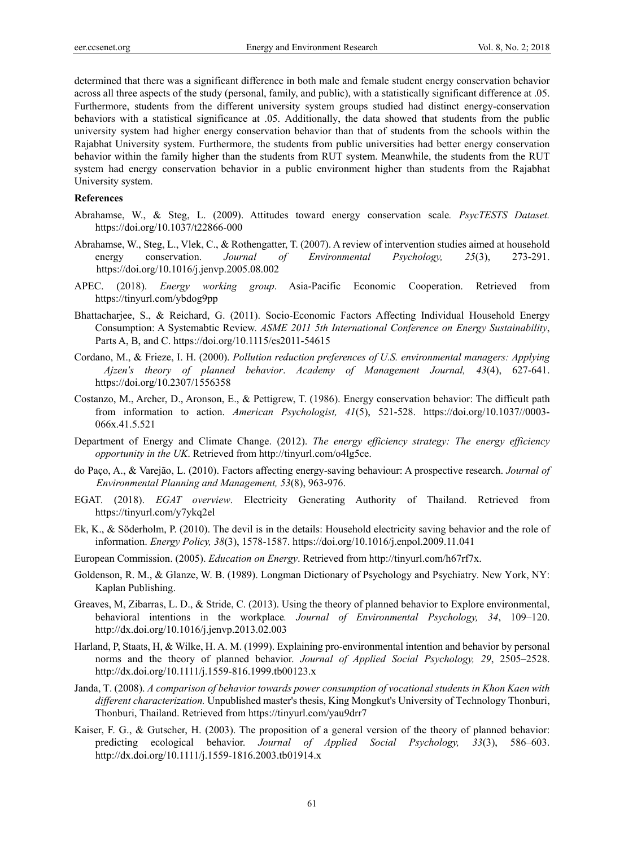determined that there was a significant difference in both male and female student energy conservation behavior across all three aspects of the study (personal, family, and public), with a statistically significant difference at .05. Furthermore, students from the different university system groups studied had distinct energy-conservation behaviors with a statistical significance at .05. Additionally, the data showed that students from the public university system had higher energy conservation behavior than that of students from the schools within the Rajabhat University system. Furthermore, the students from public universities had better energy conservation behavior within the family higher than the students from RUT system. Meanwhile, the students from the RUT system had energy conservation behavior in a public environment higher than students from the Rajabhat University system.

#### **References**

- Abrahamse, W., & Steg, L. (2009). Attitudes toward energy conservation scale*. PsycTESTS Dataset.* https://doi.org/10.1037/t22866-000
- Abrahamse, W., Steg, L., Vlek, C., & Rothengatter, T. (2007). A review of intervention studies aimed at household energy conservation. *Journal of Environmental Psychology, 25*(3), 273-291. https://doi.org/10.1016/j.jenvp.2005.08.002
- APEC. (2018). *Energy working group*. Asia-Pacific Economic Cooperation. Retrieved from https://tinyurl.com/ybdog9pp
- Bhattacharjee, S., & Reichard, G. (2011). Socio-Economic Factors Affecting Individual Household Energy Consumption: A Systemabtic Review. *ASME 2011 5th International Conference on Energy Sustainability*, Parts A, B, and C. https://doi.org/10.1115/es2011-54615
- Cordano, M., & Frieze, I. H. (2000). *Pollution reduction preferences of U.S. environmental managers: Applying Ajzen's theory of planned behavior*. *Academy of Management Journal, 43*(4), 627-641. https://doi.org/10.2307/1556358
- Costanzo, M., Archer, D., Aronson, E., & Pettigrew, T. (1986). Energy conservation behavior: The difficult path from information to action. *American Psychologist, 41*(5), 521-528. https://doi.org/10.1037//0003- 066x.41.5.521
- Department of Energy and Climate Change. (2012). *The energy efficiency strategy: The energy efficiency opportunity in the UK*. Retrieved from http://tinyurl.com/o4lg5ce.
- do Paço, A., & Varejão, L. (2010). Factors affecting energy-saving behaviour: A prospective research. *Journal of Environmental Planning and Management, 53*(8), 963-976.
- EGAT. (2018). *EGAT overview*. Electricity Generating Authority of Thailand. Retrieved from https://tinyurl.com/y7ykq2el
- Ek, K., & Söderholm, P. (2010). The devil is in the details: Household electricity saving behavior and the role of information. *Energy Policy, 38*(3), 1578-1587. https://doi.org/10.1016/j.enpol.2009.11.041
- European Commission. (2005). *Education on Energy*. Retrieved from http://tinyurl.com/h67rf7x.
- Goldenson, R. M., & Glanze, W. B. (1989). Longman Dictionary of Psychology and Psychiatry*.* New York, NY: Kaplan Publishing.
- Greaves, M, Zibarras, L. D., & Stride, C. (2013). Using the theory of planned behavior to Explore environmental, behavioral intentions in the workplace*. Journal of Environmental Psychology, 34*, 109–120. http://dx.doi.org/10.1016/j.jenvp.2013.02.003
- Harland, P, Staats, H, & Wilke, H. A. M. (1999). Explaining pro-environmental intention and behavior by personal norms and the theory of planned behavior. *Journal of Applied Social Psychology, 29*, 2505–2528. http://dx.doi.org/10.1111/j.1559-816.1999.tb00123.x
- Janda, T. (2008). *A comparison of behavior towards power consumption of vocational students in Khon Kaen with different characterization.* Unpublished master's thesis, King Mongkut's University of Technology Thonburi, Thonburi, Thailand. Retrieved from https://tinyurl.com/yau9drr7
- Kaiser, F. G., & Gutscher, H. (2003). The proposition of a general version of the theory of planned behavior: predicting ecological behavior. *Journal of Applied Social Psychology, 33*(3), 586–603. http://dx.doi.org/10.1111/j.1559-1816.2003.tb01914.x